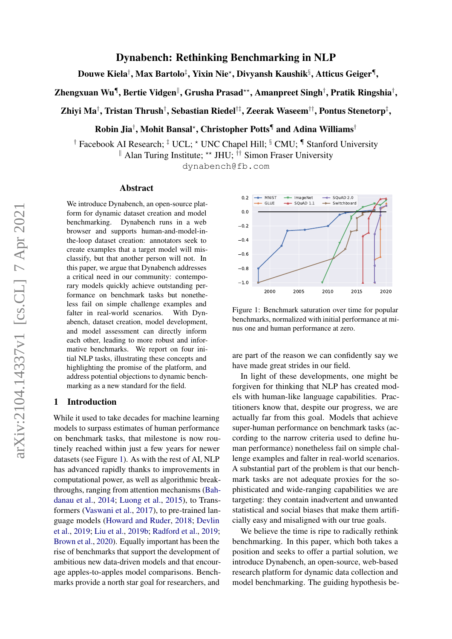# Dynabench: Rethinking Benchmarking in NLP

Douwe Kiela†, Max Bartolo‡, Yixin Nie\*, Divyansh Kaushik§, Atticus Geiger¶,

Zhengxuan Wu¶, Bertie Vidgen", Grusha Prasad\*\*, Amanpreet Singh†, Pratik Ringshia†,

Zhiyi Ma†, Tristan Thrush†, Sebastian Riedel†‡, Zeerak Waseem††, Pontus Stenetorp‡,

Robin Jia† , Mohit Bansal? , Christopher Potts¶ and Adina Williams†

<sup>†</sup> Facebook AI Research; <sup>‡</sup> UCL; \* UNC Chapel Hill; <sup>§</sup> CMU; <sup>¶</sup> Stanford University || Alan Turing Institute; \*\* JHU;  $\dagger \dagger$  Simon Fraser University

dynabench@fb.com

#### Abstract

We introduce Dynabench, an open-source platform for dynamic dataset creation and model benchmarking. Dynabench runs in a web browser and supports human-and-model-inthe-loop dataset creation: annotators seek to create examples that a target model will misclassify, but that another person will not. In this paper, we argue that Dynabench addresses a critical need in our community: contemporary models quickly achieve outstanding performance on benchmark tasks but nonetheless fail on simple challenge examples and falter in real-world scenarios. With Dynabench, dataset creation, model development, and model assessment can directly inform each other, leading to more robust and informative benchmarks. We report on four initial NLP tasks, illustrating these concepts and highlighting the promise of the platform, and address potential objections to dynamic benchmarking as a new standard for the field.

# 1 Introduction

While it used to take decades for machine learning models to surpass estimates of human performance on benchmark tasks, that milestone is now routinely reached within just a few years for newer datasets (see Figure [1\)](#page-0-0). As with the rest of AI, NLP has advanced rapidly thanks to improvements in computational power, as well as algorithmic breakthroughs, ranging from attention mechanisms [\(Bah](#page-8-0)[danau et al.,](#page-8-0) [2014;](#page-8-0) [Luong et al.,](#page-11-0) [2015\)](#page-11-0), to Transformers [\(Vaswani et al.,](#page-13-0) [2017\)](#page-13-0), to pre-trained language models [\(Howard and Ruder,](#page-10-0) [2018;](#page-10-0) [Devlin](#page-9-0) [et al.,](#page-9-0) [2019;](#page-9-0) [Liu et al.,](#page-10-1) [2019b;](#page-10-1) [Radford et al.,](#page-12-0) [2019;](#page-12-0) [Brown et al.,](#page-9-1) [2020\)](#page-9-1). Equally important has been the rise of benchmarks that support the development of ambitious new data-driven models and that encourage apples-to-apples model comparisons. Benchmarks provide a north star goal for researchers, and

<span id="page-0-0"></span>

Figure 1: Benchmark saturation over time for popular benchmarks, normalized with initial performance at minus one and human performance at zero.

are part of the reason we can confidently say we have made great strides in our field.

In light of these developments, one might be forgiven for thinking that NLP has created models with human-like language capabilities. Practitioners know that, despite our progress, we are actually far from this goal. Models that achieve super-human performance on benchmark tasks (according to the narrow criteria used to define human performance) nonetheless fail on simple challenge examples and falter in real-world scenarios. A substantial part of the problem is that our benchmark tasks are not adequate proxies for the sophisticated and wide-ranging capabilities we are targeting: they contain inadvertent and unwanted statistical and social biases that make them artificially easy and misaligned with our true goals.

We believe the time is ripe to radically rethink benchmarking. In this paper, which both takes a position and seeks to offer a partial solution, we introduce Dynabench, an open-source, web-based research platform for dynamic data collection and model benchmarking. The guiding hypothesis be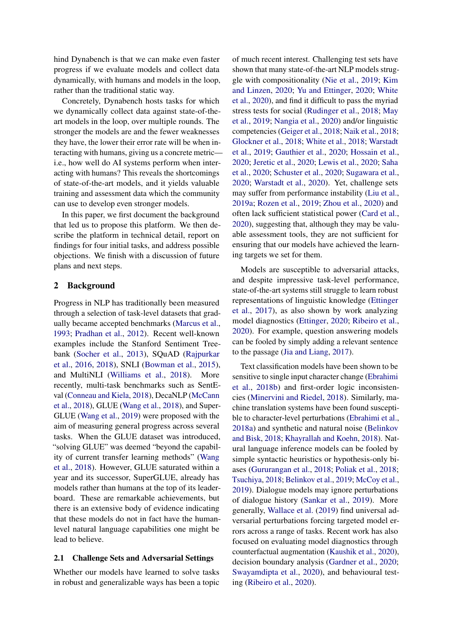hind Dynabench is that we can make even faster progress if we evaluate models and collect data dynamically, with humans and models in the loop, rather than the traditional static way.

Concretely, Dynabench hosts tasks for which we dynamically collect data against state-of-theart models in the loop, over multiple rounds. The stronger the models are and the fewer weaknesses they have, the lower their error rate will be when interacting with humans, giving us a concrete metric i.e., how well do AI systems perform when interacting with humans? This reveals the shortcomings of state-of-the-art models, and it yields valuable training and assessment data which the community can use to develop even stronger models.

In this paper, we first document the background that led us to propose this platform. We then describe the platform in technical detail, report on findings for four initial tasks, and address possible objections. We finish with a discussion of future plans and next steps.

## 2 Background

Progress in NLP has traditionally been measured through a selection of task-level datasets that gradually became accepted benchmarks [\(Marcus et al.,](#page-11-1) [1993;](#page-11-1) [Pradhan et al.,](#page-11-2) [2012\)](#page-11-2). Recent well-known examples include the Stanford Sentiment Treebank [\(Socher et al.,](#page-12-1) [2013\)](#page-12-1), SQuAD [\(Rajpurkar](#page-12-2) [et al.,](#page-12-2) [2016,](#page-12-2) [2018\)](#page-12-3), SNLI [\(Bowman et al.,](#page-8-1) [2015\)](#page-8-1), and MultiNLI [\(Williams et al.,](#page-14-0) [2018\)](#page-14-0). More recently, multi-task benchmarks such as SentEval [\(Conneau and Kiela,](#page-9-2) [2018\)](#page-9-2), DecaNLP [\(McCann](#page-11-3) [et al.,](#page-11-3) [2018\)](#page-11-3), GLUE [\(Wang et al.,](#page-13-1) [2018\)](#page-13-1), and Super-GLUE [\(Wang et al.,](#page-13-2) [2019\)](#page-13-2) were proposed with the aim of measuring general progress across several tasks. When the GLUE dataset was introduced, "solving GLUE" was deemed "beyond the capability of current transfer learning methods" [\(Wang](#page-13-1) [et al.,](#page-13-1) [2018\)](#page-13-1). However, GLUE saturated within a year and its successor, SuperGLUE, already has models rather than humans at the top of its leaderboard. These are remarkable achievements, but there is an extensive body of evidence indicating that these models do not in fact have the humanlevel natural language capabilities one might be lead to believe.

#### 2.1 Challenge Sets and Adversarial Settings

Whether our models have learned to solve tasks in robust and generalizable ways has been a topic of much recent interest. Challenging test sets have shown that many state-of-the-art NLP models struggle with compositionality [\(Nie et al.,](#page-11-4) [2019;](#page-11-4) [Kim](#page-10-2) [and Linzen,](#page-10-2) [2020;](#page-10-2) [Yu and Ettinger,](#page-14-1) [2020;](#page-14-1) [White](#page-14-2) [et al.,](#page-14-2) [2020\)](#page-14-2), and find it difficult to pass the myriad stress tests for social [\(Rudinger et al.,](#page-12-4) [2018;](#page-12-4) [May](#page-11-5) [et al.,](#page-11-5) [2019;](#page-11-5) [Nangia et al.,](#page-11-6) [2020\)](#page-11-6) and/or linguistic competencies [\(Geiger et al.,](#page-9-3) [2018;](#page-9-3) [Naik et al.,](#page-11-7) [2018;](#page-11-7) [Glockner et al.,](#page-10-3) [2018;](#page-10-3) [White et al.,](#page-13-3) [2018;](#page-13-3) [Warstadt](#page-13-4) [et al.,](#page-13-4) [2019;](#page-13-4) [Gauthier et al.,](#page-9-4) [2020;](#page-9-4) [Hossain et al.,](#page-10-4) [2020;](#page-10-4) [Jeretic et al.,](#page-10-5) [2020;](#page-10-5) [Lewis et al.,](#page-10-6) [2020;](#page-10-6) [Saha](#page-12-5) [et al.,](#page-12-5) [2020;](#page-12-5) [Schuster et al.,](#page-12-6) [2020;](#page-12-6) [Sugawara et al.,](#page-13-5) [2020;](#page-13-5) [Warstadt et al.,](#page-13-6) [2020\)](#page-13-6). Yet, challenge sets may suffer from performance instability [\(Liu et al.,](#page-10-7) [2019a;](#page-10-7) [Rozen et al.,](#page-12-7) [2019;](#page-12-7) [Zhou et al.,](#page-14-3) [2020\)](#page-14-3) and often lack sufficient statistical power [\(Card et al.,](#page-9-5) [2020\)](#page-9-5), suggesting that, although they may be valuable assessment tools, they are not sufficient for ensuring that our models have achieved the learning targets we set for them.

Models are susceptible to adversarial attacks, and despite impressive task-level performance, state-of-the-art systems still struggle to learn robust representations of linguistic knowledge [\(Ettinger](#page-9-6) [et al.,](#page-9-6) [2017\)](#page-9-6), as also shown by work analyzing model diagnostics [\(Ettinger,](#page-9-7) [2020;](#page-9-7) [Ribeiro et al.,](#page-12-8) [2020\)](#page-12-8). For example, question answering models can be fooled by simply adding a relevant sentence to the passage [\(Jia and Liang,](#page-10-8) [2017\)](#page-10-8).

Text classification models have been shown to be sensitive to single input character change [\(Ebrahimi](#page-9-8) [et al.,](#page-9-8) [2018b\)](#page-9-8) and first-order logic inconsistencies [\(Minervini and Riedel,](#page-11-8) [2018\)](#page-11-8). Similarly, machine translation systems have been found susceptible to character-level perturbations [\(Ebrahimi et al.,](#page-9-9) [2018a\)](#page-9-9) and synthetic and natural noise [\(Belinkov](#page-8-2) [and Bisk,](#page-8-2) [2018;](#page-8-2) [Khayrallah and Koehn,](#page-10-9) [2018\)](#page-10-9). Natural language inference models can be fooled by simple syntactic heuristics or hypothesis-only biases [\(Gururangan et al.,](#page-10-10) [2018;](#page-10-10) [Poliak et al.,](#page-11-9) [2018;](#page-11-9) [Tsuchiya,](#page-13-7) [2018;](#page-13-7) [Belinkov et al.,](#page-8-3) [2019;](#page-8-3) [McCoy et al.,](#page-11-10) [2019\)](#page-11-10). Dialogue models may ignore perturbations of dialogue history [\(Sankar et al.,](#page-12-9) [2019\)](#page-12-9). More generally, [Wallace et al.](#page-13-8) [\(2019\)](#page-13-8) find universal adversarial perturbations forcing targeted model errors across a range of tasks. Recent work has also focused on evaluating model diagnostics through counterfactual augmentation [\(Kaushik et al.,](#page-10-11) [2020\)](#page-10-11), decision boundary analysis [\(Gardner et al.,](#page-9-10) [2020;](#page-9-10) [Swayamdipta et al.,](#page-13-9) [2020\)](#page-13-9), and behavioural testing [\(Ribeiro et al.,](#page-12-8) [2020\)](#page-12-8).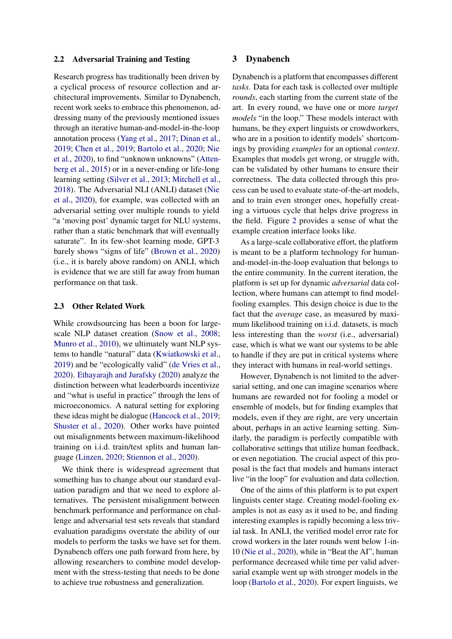#### 2.2 Adversarial Training and Testing

Research progress has traditionally been driven by a cyclical process of resource collection and architectural improvements. Similar to Dynabench, recent work seeks to embrace this phenomenon, addressing many of the previously mentioned issues through an iterative human-and-model-in-the-loop annotation process [\(Yang et al.,](#page-14-4) [2017;](#page-14-4) [Dinan et al.,](#page-9-11) [2019;](#page-9-11) [Chen et al.,](#page-9-12) [2019;](#page-9-12) [Bartolo et al.,](#page-8-4) [2020;](#page-8-4) [Nie](#page-11-11) [et al.,](#page-11-11) [2020\)](#page-11-11), to find "unknown unknowns" [\(Atten](#page-8-5)[berg et al.,](#page-8-5) [2015\)](#page-8-5) or in a never-ending or life-long learning setting [\(Silver et al.,](#page-12-10) [2013;](#page-12-10) [Mitchell et al.,](#page-11-12) [2018\)](#page-11-12). The Adversarial NLI (ANLI) dataset [\(Nie](#page-11-11) [et al.,](#page-11-11) [2020\)](#page-11-11), for example, was collected with an adversarial setting over multiple rounds to yield "a 'moving post' dynamic target for NLU systems, rather than a static benchmark that will eventually saturate". In its few-shot learning mode, GPT-3 barely shows "signs of life" [\(Brown et al.,](#page-9-1) [2020\)](#page-9-1) (i.e., it is barely above random) on ANLI, which is evidence that we are still far away from human performance on that task.

#### 2.3 Other Related Work

While crowdsourcing has been a boon for largescale NLP dataset creation [\(Snow et al.,](#page-12-11) [2008;](#page-12-11) [Munro et al.,](#page-11-13) [2010\)](#page-11-13), we ultimately want NLP systems to handle "natural" data [\(Kwiatkowski et al.,](#page-10-12) [2019\)](#page-10-12) and be "ecologically valid" [\(de Vries et al.,](#page-9-13) [2020\)](#page-9-13). [Ethayarajh and Jurafsky](#page-9-14) [\(2020\)](#page-9-14) analyze the distinction between what leaderboards incentivize and "what is useful in practice" through the lens of microeconomics. A natural setting for exploring these ideas might be dialogue [\(Hancock et al.,](#page-10-13) [2019;](#page-10-13) [Shuster et al.,](#page-12-12) [2020\)](#page-12-12). Other works have pointed out misalignments between maximum-likelihood training on i.i.d. train/test splits and human language [\(Linzen,](#page-10-14) [2020;](#page-10-14) [Stiennon et al.,](#page-12-13) [2020\)](#page-12-13).

We think there is widespread agreement that something has to change about our standard evaluation paradigm and that we need to explore alternatives. The persistent misalignment between benchmark performance and performance on challenge and adversarial test sets reveals that standard evaluation paradigms overstate the ability of our models to perform the tasks we have set for them. Dynabench offers one path forward from here, by allowing researchers to combine model development with the stress-testing that needs to be done to achieve true robustness and generalization.

#### 3 Dynabench

Dynabench is a platform that encompasses different *tasks*. Data for each task is collected over multiple *rounds*, each starting from the current state of the art. In every round, we have one or more *target models* "in the loop." These models interact with humans, be they expert linguists or crowdworkers, who are in a position to identify models' shortcomings by providing *examples* for an optional *context*. Examples that models get wrong, or struggle with, can be validated by other humans to ensure their correctness. The data collected through this process can be used to evaluate state-of-the-art models, and to train even stronger ones, hopefully creating a virtuous cycle that helps drive progress in the field. Figure [2](#page-3-0) provides a sense of what the example creation interface looks like.

As a large-scale collaborative effort, the platform is meant to be a platform technology for humanand-model-in-the-loop evaluation that belongs to the entire community. In the current iteration, the platform is set up for dynamic *adversarial* data collection, where humans can attempt to find modelfooling examples. This design choice is due to the fact that the *average* case, as measured by maximum likelihood training on i.i.d. datasets, is much less interesting than the *worst* (i.e., adversarial) case, which is what we want our systems to be able to handle if they are put in critical systems where they interact with humans in real-world settings.

However, Dynabench is not limited to the adversarial setting, and one can imagine scenarios where humans are rewarded not for fooling a model or ensemble of models, but for finding examples that models, even if they are right, are very uncertain about, perhaps in an active learning setting. Similarly, the paradigm is perfectly compatible with collaborative settings that utilize human feedback, or even negotiation. The crucial aspect of this proposal is the fact that models and humans interact live "in the loop" for evaluation and data collection.

One of the aims of this platform is to put expert linguists center stage. Creating model-fooling examples is not as easy as it used to be, and finding interesting examples is rapidly becoming a less trivial task. In ANLI, the verified model error rate for crowd workers in the later rounds went below 1-in-10 [\(Nie et al.,](#page-11-11) [2020\)](#page-11-11), while in "Beat the AI", human performance decreased while time per valid adversarial example went up with stronger models in the loop [\(Bartolo et al.,](#page-8-4) [2020\)](#page-8-4). For expert linguists, we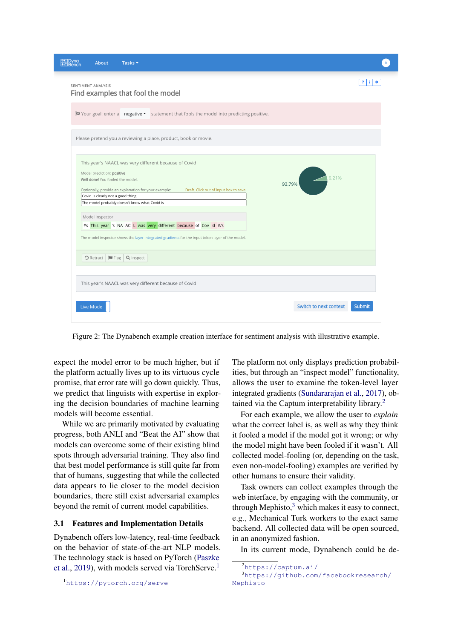<span id="page-3-0"></span>

| About<br>Tasks $\blacktriangleright$                                                                                                                                                                                                                                                                                                                                                                                                                                                                                 |        |
|----------------------------------------------------------------------------------------------------------------------------------------------------------------------------------------------------------------------------------------------------------------------------------------------------------------------------------------------------------------------------------------------------------------------------------------------------------------------------------------------------------------------|--------|
| SENTIMENT ANALYSIS<br>Find examples that fool the model                                                                                                                                                                                                                                                                                                                                                                                                                                                              |        |
| ⊠ Your goal: enter a negative v statement that fools the model into predicting positive.                                                                                                                                                                                                                                                                                                                                                                                                                             |        |
| Please pretend you a reviewing a place, product, book or movie.                                                                                                                                                                                                                                                                                                                                                                                                                                                      |        |
| This year's NAACL was very different because of Covid<br>Model prediction: positive<br>Well done! You fooled the model.<br>93.79%<br>Optionally, provide an explanation for your example:<br>Draft. Click out of input box to save.<br>Covid is clearly not a good thing<br>The model probably doesn't know what Covid is<br>Model Inspector<br>#s This year 's NA AC L was very different because of Cov id #/s<br>The model inspector shows the layer integrated gradients for the input token layer of the model. | 6.21%  |
| D Retract   I Flag   Q Inspect                                                                                                                                                                                                                                                                                                                                                                                                                                                                                       |        |
| This year's NAACL was very different because of Covid                                                                                                                                                                                                                                                                                                                                                                                                                                                                |        |
| Switch to next context<br>Live Mode                                                                                                                                                                                                                                                                                                                                                                                                                                                                                  | Submit |

Figure 2: The Dynabench example creation interface for sentiment analysis with illustrative example.

expect the model error to be much higher, but if the platform actually lives up to its virtuous cycle promise, that error rate will go down quickly. Thus, we predict that linguists with expertise in exploring the decision boundaries of machine learning models will become essential.

While we are primarily motivated by evaluating progress, both ANLI and "Beat the AI" show that models can overcome some of their existing blind spots through adversarial training. They also find that best model performance is still quite far from that of humans, suggesting that while the collected data appears to lie closer to the model decision boundaries, there still exist adversarial examples beyond the remit of current model capabilities.

### 3.1 Features and Implementation Details

Dynabench offers low-latency, real-time feedback on the behavior of state-of-the-art NLP models. The technology stack is based on PyTorch [\(Paszke](#page-11-14) [et al.,](#page-11-14) [2019\)](#page-11-14), with models served via TorchServe.<sup>[1](#page-3-1)</sup>

The platform not only displays prediction probabilities, but through an "inspect model" functionality, allows the user to examine the token-level layer integrated gradients [\(Sundararajan et al.,](#page-13-10) [2017\)](#page-13-10), obtained via the Captum interpretability library.[2](#page-3-2)

For each example, we allow the user to *explain* what the correct label is, as well as why they think it fooled a model if the model got it wrong; or why the model might have been fooled if it wasn't. All collected model-fooling (or, depending on the task, even non-model-fooling) examples are verified by other humans to ensure their validity.

Task owners can collect examples through the web interface, by engaging with the community, or through Mephisto, $3$  which makes it easy to connect, e.g., Mechanical Turk workers to the exact same backend. All collected data will be open sourced, in an anonymized fashion.

In its current mode, Dynabench could be de-

<span id="page-3-1"></span><sup>1</sup><https://pytorch.org/serve>

<span id="page-3-3"></span><span id="page-3-2"></span><sup>2</sup><https://captum.ai/>

<sup>3</sup>[https://github.com/facebookresearch/](https://github.com/facebookresearch/Mephisto) [Mephisto](https://github.com/facebookresearch/Mephisto)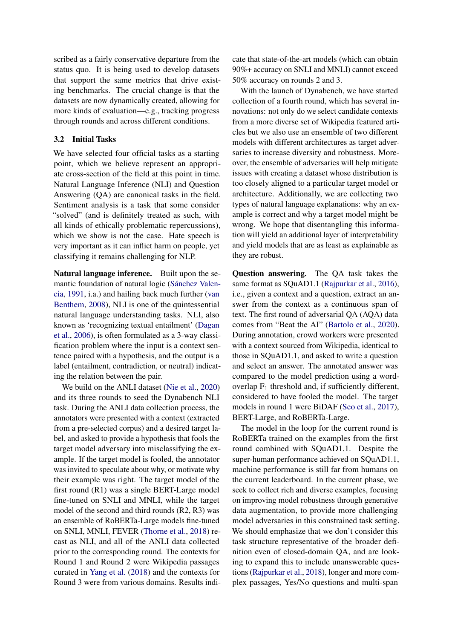scribed as a fairly conservative departure from the status quo. It is being used to develop datasets that support the same metrics that drive existing benchmarks. The crucial change is that the datasets are now dynamically created, allowing for more kinds of evaluation—e.g., tracking progress through rounds and across different conditions.

#### 3.2 Initial Tasks

We have selected four official tasks as a starting point, which we believe represent an appropriate cross-section of the field at this point in time. Natural Language Inference (NLI) and Question Answering (QA) are canonical tasks in the field. Sentiment analysis is a task that some consider "solved" (and is definitely treated as such, with all kinds of ethically problematic repercussions), which we show is not the case. Hate speech is very important as it can inflict harm on people, yet classifying it remains challenging for NLP.

Natural language inference. Built upon the semantic foundation of natural logic [\(Sánchez Valen](#page-12-14)[cia,](#page-12-14) [1991,](#page-12-14) i.a.) and hailing back much further [\(van](#page-13-11) [Benthem,](#page-13-11) [2008\)](#page-13-11), NLI is one of the quintessential natural language understanding tasks. NLI, also known as 'recognizing textual entailment' [\(Dagan](#page-9-15) [et al.,](#page-9-15) [2006\)](#page-9-15), is often formulated as a 3-way classification problem where the input is a context sentence paired with a hypothesis, and the output is a label (entailment, contradiction, or neutral) indicating the relation between the pair.

We build on the ANLI dataset [\(Nie et al.,](#page-11-11) [2020\)](#page-11-11) and its three rounds to seed the Dynabench NLI task. During the ANLI data collection process, the annotators were presented with a context (extracted from a pre-selected corpus) and a desired target label, and asked to provide a hypothesis that fools the target model adversary into misclassifying the example. If the target model is fooled, the annotator was invited to speculate about why, or motivate why their example was right. The target model of the first round (R1) was a single BERT-Large model fine-tuned on SNLI and MNLI, while the target model of the second and third rounds (R2, R3) was an ensemble of RoBERTa-Large models fine-tuned on SNLI, MNLI, FEVER [\(Thorne et al.,](#page-13-12) [2018\)](#page-13-12) recast as NLI, and all of the ANLI data collected prior to the corresponding round. The contexts for Round 1 and Round 2 were Wikipedia passages curated in [Yang et al.](#page-14-5) [\(2018\)](#page-14-5) and the contexts for Round 3 were from various domains. Results indicate that state-of-the-art models (which can obtain 90%+ accuracy on SNLI and MNLI) cannot exceed 50% accuracy on rounds 2 and 3.

With the launch of Dynabench, we have started collection of a fourth round, which has several innovations: not only do we select candidate contexts from a more diverse set of Wikipedia featured articles but we also use an ensemble of two different models with different architectures as target adversaries to increase diversity and robustness. Moreover, the ensemble of adversaries will help mitigate issues with creating a dataset whose distribution is too closely aligned to a particular target model or architecture. Additionally, we are collecting two types of natural language explanations: why an example is correct and why a target model might be wrong. We hope that disentangling this information will yield an additional layer of interpretability and yield models that are as least as explainable as they are robust.

Question answering. The QA task takes the same format as SQuAD1.1 [\(Rajpurkar et al.,](#page-12-2) [2016\)](#page-12-2), i.e., given a context and a question, extract an answer from the context as a continuous span of text. The first round of adversarial QA (AQA) data comes from "Beat the AI" [\(Bartolo et al.,](#page-8-4) [2020\)](#page-8-4). During annotation, crowd workers were presented with a context sourced from Wikipedia, identical to those in SQuAD1.1, and asked to write a question and select an answer. The annotated answer was compared to the model prediction using a wordoverlap  $F_1$  threshold and, if sufficiently different, considered to have fooled the model. The target models in round 1 were BiDAF [\(Seo et al.,](#page-12-15) [2017\)](#page-12-15), BERT-Large, and RoBERTa-Large.

The model in the loop for the current round is RoBERTa trained on the examples from the first round combined with SQuAD1.1. Despite the super-human performance achieved on SQuAD1.1, machine performance is still far from humans on the current leaderboard. In the current phase, we seek to collect rich and diverse examples, focusing on improving model robustness through generative data augmentation, to provide more challenging model adversaries in this constrained task setting. We should emphasize that we don't consider this task structure representative of the broader definition even of closed-domain QA, and are looking to expand this to include unanswerable questions [\(Rajpurkar et al.,](#page-12-3) [2018\)](#page-12-3), longer and more complex passages, Yes/No questions and multi-span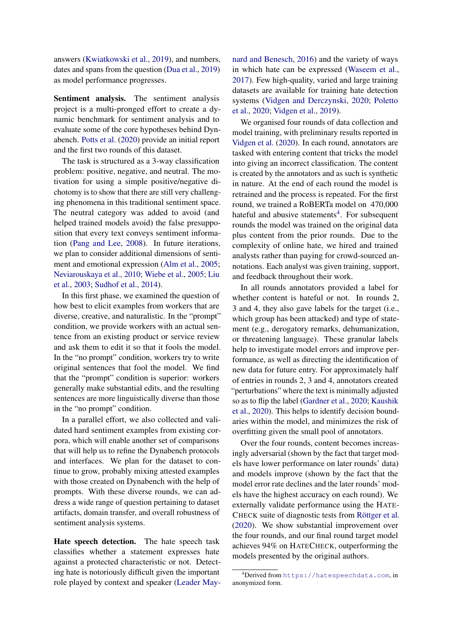answers [\(Kwiatkowski et al.,](#page-10-12) [2019\)](#page-10-12), and numbers, dates and spans from the question [\(Dua et al.,](#page-9-16) [2019\)](#page-9-16) as model performance progresses.

Sentiment analysis. The sentiment analysis project is a multi-pronged effort to create a dynamic benchmark for sentiment analysis and to evaluate some of the core hypotheses behind Dynabench. [Potts et al.](#page-11-15) [\(2020\)](#page-11-15) provide an initial report and the first two rounds of this dataset.

The task is structured as a 3-way classification problem: positive, negative, and neutral. The motivation for using a simple positive/negative dichotomy is to show that there are still very challenging phenomena in this traditional sentiment space. The neutral category was added to avoid (and helped trained models avoid) the false presupposition that every text conveys sentiment information [\(Pang and Lee,](#page-11-16) [2008\)](#page-11-16). In future iterations, we plan to consider additional dimensions of sentiment and emotional expression [\(Alm et al.,](#page-8-6) [2005;](#page-8-6) [Neviarouskaya et al.,](#page-11-17) [2010;](#page-11-17) [Wiebe et al.,](#page-14-6) [2005;](#page-14-6) [Liu](#page-10-15) [et al.,](#page-10-15) [2003;](#page-10-15) [Sudhof et al.,](#page-12-16) [2014\)](#page-12-16).

In this first phase, we examined the question of how best to elicit examples from workers that are diverse, creative, and naturalistic. In the "prompt" condition, we provide workers with an actual sentence from an existing product or service review and ask them to edit it so that it fools the model. In the "no prompt" condition, workers try to write original sentences that fool the model. We find that the "prompt" condition is superior: workers generally make substantial edits, and the resulting sentences are more linguistically diverse than those in the "no prompt" condition.

In a parallel effort, we also collected and validated hard sentiment examples from existing corpora, which will enable another set of comparisons that will help us to refine the Dynabench protocols and interfaces. We plan for the dataset to continue to grow, probably mixing attested examples with those created on Dynabench with the help of prompts. With these diverse rounds, we can address a wide range of question pertaining to dataset artifacts, domain transfer, and overall robustness of sentiment analysis systems.

Hate speech detection. The hate speech task classifies whether a statement expresses hate against a protected characteristic or not. Detecting hate is notoriously difficult given the important role played by context and speaker [\(Leader May-](#page-10-16) [nard and Benesch,](#page-10-16) [2016\)](#page-10-16) and the variety of ways in which hate can be expressed [\(Waseem et al.,](#page-13-13) [2017\)](#page-13-13). Few high-quality, varied and large training datasets are available for training hate detection systems [\(Vidgen and Derczynski,](#page-13-14) [2020;](#page-13-14) [Poletto](#page-11-18) [et al.,](#page-11-18) [2020;](#page-11-18) [Vidgen et al.,](#page-13-15) [2019\)](#page-13-15).

We organised four rounds of data collection and model training, with preliminary results reported in [Vidgen et al.](#page-13-16) [\(2020\)](#page-13-16). In each round, annotators are tasked with entering content that tricks the model into giving an incorrect classification. The content is created by the annotators and as such is synthetic in nature. At the end of each round the model is retrained and the process is repeated. For the first round, we trained a RoBERTa model on 470,000 hateful and abusive statements<sup>[4](#page-5-0)</sup>. For subsequent rounds the model was trained on the original data plus content from the prior rounds. Due to the complexity of online hate, we hired and trained analysts rather than paying for crowd-sourced annotations. Each analyst was given training, support, and feedback throughout their work.

In all rounds annotators provided a label for whether content is hateful or not. In rounds 2, 3 and 4, they also gave labels for the target (i.e., which group has been attacked) and type of statement (e.g., derogatory remarks, dehumanization, or threatening language). These granular labels help to investigate model errors and improve performance, as well as directing the identification of new data for future entry. For approximately half of entries in rounds 2, 3 and 4, annotators created "perturbations" where the text is minimally adjusted so as to flip the label [\(Gardner et al.,](#page-9-10) [2020;](#page-9-10) [Kaushik](#page-10-11) [et al.,](#page-10-11) [2020\)](#page-10-11). This helps to identify decision boundaries within the model, and minimizes the risk of overfitting given the small pool of annotators.

Over the four rounds, content becomes increasingly adversarial (shown by the fact that target models have lower performance on later rounds' data) and models improve (shown by the fact that the model error rate declines and the later rounds' models have the highest accuracy on each round). We externally validate performance using the HATE-CHECK suite of diagnostic tests from [Röttger et al.](#page-12-17) [\(2020\)](#page-12-17). We show substantial improvement over the four rounds, and our final round target model achieves 94% on HATECHECK, outperforming the models presented by the original authors.

<span id="page-5-0"></span><sup>4</sup>Derived from <https://hatespeechdata.com>, in anonymized form.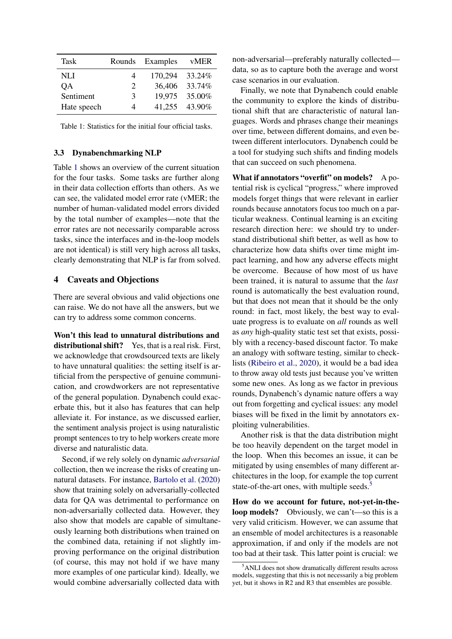<span id="page-6-0"></span>

| Task        | Rounds                      | Examples | vMER   |
|-------------|-----------------------------|----------|--------|
| NLI         | 4                           | 170,294  | 33.24% |
| QA          | $\mathcal{D}_{\mathcal{L}}$ | 36,406   | 33.74% |
| Sentiment   | 3                           | 19,975   | 35.00% |
| Hate speech | 4                           | 41,255   | 43.90% |

Table 1: Statistics for the initial four official tasks.

#### 3.3 Dynabenchmarking NLP

Table [1](#page-6-0) shows an overview of the current situation for the four tasks. Some tasks are further along in their data collection efforts than others. As we can see, the validated model error rate (vMER; the number of human-validated model errors divided by the total number of examples—note that the error rates are not necessarily comparable across tasks, since the interfaces and in-the-loop models are not identical) is still very high across all tasks, clearly demonstrating that NLP is far from solved.

# 4 Caveats and Objections

There are several obvious and valid objections one can raise. We do not have all the answers, but we can try to address some common concerns.

Won't this lead to unnatural distributions and distributional shift? Yes, that is a real risk. First, we acknowledge that crowdsourced texts are likely to have unnatural qualities: the setting itself is artificial from the perspective of genuine communication, and crowdworkers are not representative of the general population. Dynabench could exacerbate this, but it also has features that can help alleviate it. For instance, as we discussed earlier, the sentiment analysis project is using naturalistic prompt sentences to try to help workers create more diverse and naturalistic data.

Second, if we rely solely on dynamic *adversarial* collection, then we increase the risks of creating unnatural datasets. For instance, [Bartolo et al.](#page-8-4) [\(2020\)](#page-8-4) show that training solely on adversarially-collected data for QA was detrimental to performance on non-adversarially collected data. However, they also show that models are capable of simultaneously learning both distributions when trained on the combined data, retaining if not slightly improving performance on the original distribution (of course, this may not hold if we have many more examples of one particular kind). Ideally, we would combine adversarially collected data with

non-adversarial—preferably naturally collected data, so as to capture both the average and worst case scenarios in our evaluation.

Finally, we note that Dynabench could enable the community to explore the kinds of distributional shift that are characteristic of natural languages. Words and phrases change their meanings over time, between different domains, and even between different interlocutors. Dynabench could be a tool for studying such shifts and finding models that can succeed on such phenomena.

What if annotators "overfit" on models? A potential risk is cyclical "progress," where improved models forget things that were relevant in earlier rounds because annotators focus too much on a particular weakness. Continual learning is an exciting research direction here: we should try to understand distributional shift better, as well as how to characterize how data shifts over time might impact learning, and how any adverse effects might be overcome. Because of how most of us have been trained, it is natural to assume that the *last* round is automatically the best evaluation round, but that does not mean that it should be the only round: in fact, most likely, the best way to evaluate progress is to evaluate on *all* rounds as well as *any* high-quality static test set that exists, possibly with a recency-based discount factor. To make an analogy with software testing, similar to checklists [\(Ribeiro et al.,](#page-12-8) [2020\)](#page-12-8), it would be a bad idea to throw away old tests just because you've written some new ones. As long as we factor in previous rounds, Dynabench's dynamic nature offers a way out from forgetting and cyclical issues: any model biases will be fixed in the limit by annotators exploiting vulnerabilities.

Another risk is that the data distribution might be too heavily dependent on the target model in the loop. When this becomes an issue, it can be mitigated by using ensembles of many different architectures in the loop, for example the top current state-of-the-art ones, with multiple seeds.<sup>[5](#page-6-1)</sup>

How do we account for future, not-yet-in-theloop models? Obviously, we can't—so this is a very valid criticism. However, we can assume that an ensemble of model architectures is a reasonable approximation, if and only if the models are not too bad at their task. This latter point is crucial: we

<span id="page-6-1"></span><sup>5</sup>ANLI does not show dramatically different results across models, suggesting that this is not necessarily a big problem yet, but it shows in R2 and R3 that ensembles are possible.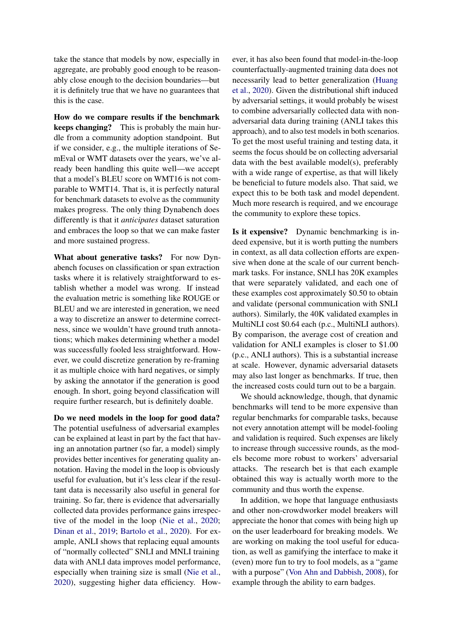take the stance that models by now, especially in aggregate, are probably good enough to be reasonably close enough to the decision boundaries—but it is definitely true that we have no guarantees that this is the case.

How do we compare results if the benchmark keeps changing? This is probably the main hurdle from a community adoption standpoint. But if we consider, e.g., the multiple iterations of SemEval or WMT datasets over the years, we've already been handling this quite well—we accept that a model's BLEU score on WMT16 is not comparable to WMT14. That is, it is perfectly natural for benchmark datasets to evolve as the community makes progress. The only thing Dynabench does differently is that it *anticipates* dataset saturation and embraces the loop so that we can make faster and more sustained progress.

What about generative tasks? For now Dynabench focuses on classification or span extraction tasks where it is relatively straightforward to establish whether a model was wrong. If instead the evaluation metric is something like ROUGE or BLEU and we are interested in generation, we need a way to discretize an answer to determine correctness, since we wouldn't have ground truth annotations; which makes determining whether a model was successfully fooled less straightforward. However, we could discretize generation by re-framing it as multiple choice with hard negatives, or simply by asking the annotator if the generation is good enough. In short, going beyond classification will require further research, but is definitely doable.

Do we need models in the loop for good data? The potential usefulness of adversarial examples can be explained at least in part by the fact that having an annotation partner (so far, a model) simply provides better incentives for generating quality annotation. Having the model in the loop is obviously useful for evaluation, but it's less clear if the resultant data is necessarily also useful in general for training. So far, there is evidence that adversarially collected data provides performance gains irrespective of the model in the loop [\(Nie et al.,](#page-11-11) [2020;](#page-11-11) [Dinan et al.,](#page-9-11) [2019;](#page-9-11) [Bartolo et al.,](#page-8-4) [2020\)](#page-8-4). For example, ANLI shows that replacing equal amounts of "normally collected" SNLI and MNLI training data with ANLI data improves model performance, especially when training size is small [\(Nie et al.,](#page-11-11) [2020\)](#page-11-11), suggesting higher data efficiency. However, it has also been found that model-in-the-loop counterfactually-augmented training data does not necessarily lead to better generalization [\(Huang](#page-10-17) [et al.,](#page-10-17) [2020\)](#page-10-17). Given the distributional shift induced by adversarial settings, it would probably be wisest to combine adversarially collected data with nonadversarial data during training (ANLI takes this approach), and to also test models in both scenarios. To get the most useful training and testing data, it seems the focus should be on collecting adversarial data with the best available model(s), preferably with a wide range of expertise, as that will likely be beneficial to future models also. That said, we expect this to be both task and model dependent. Much more research is required, and we encourage the community to explore these topics.

Is it expensive? Dynamic benchmarking is indeed expensive, but it is worth putting the numbers in context, as all data collection efforts are expensive when done at the scale of our current benchmark tasks. For instance, SNLI has 20K examples that were separately validated, and each one of these examples cost approximately \$0.50 to obtain and validate (personal communication with SNLI authors). Similarly, the 40K validated examples in MultiNLI cost \$0.64 each (p.c., MultiNLI authors). By comparison, the average cost of creation and validation for ANLI examples is closer to \$1.00 (p.c., ANLI authors). This is a substantial increase at scale. However, dynamic adversarial datasets may also last longer as benchmarks. If true, then the increased costs could turn out to be a bargain.

We should acknowledge, though, that dynamic benchmarks will tend to be more expensive than regular benchmarks for comparable tasks, because not every annotation attempt will be model-fooling and validation is required. Such expenses are likely to increase through successive rounds, as the models become more robust to workers' adversarial attacks. The research bet is that each example obtained this way is actually worth more to the community and thus worth the expense.

In addition, we hope that language enthusiasts and other non-crowdworker model breakers will appreciate the honor that comes with being high up on the user leaderboard for breaking models. We are working on making the tool useful for education, as well as gamifying the interface to make it (even) more fun to try to fool models, as a "game with a purpose" [\(Von Ahn and Dabbish,](#page-13-17) [2008\)](#page-13-17), for example through the ability to earn badges.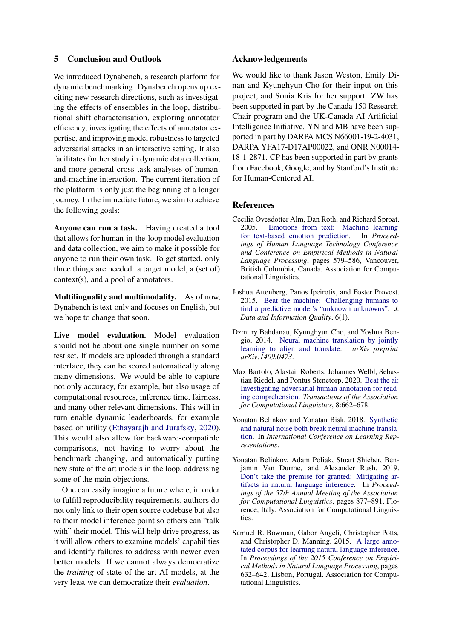### 5 Conclusion and Outlook

We introduced Dynabench, a research platform for dynamic benchmarking. Dynabench opens up exciting new research directions, such as investigating the effects of ensembles in the loop, distributional shift characterisation, exploring annotator efficiency, investigating the effects of annotator expertise, and improving model robustness to targeted adversarial attacks in an interactive setting. It also facilitates further study in dynamic data collection, and more general cross-task analyses of humanand-machine interaction. The current iteration of the platform is only just the beginning of a longer journey. In the immediate future, we aim to achieve the following goals:

Anyone can run a task. Having created a tool that allows for human-in-the-loop model evaluation and data collection, we aim to make it possible for anyone to run their own task. To get started, only three things are needed: a target model, a (set of) context(s), and a pool of annotators.

Multilinguality and multimodality. As of now, Dynabench is text-only and focuses on English, but we hope to change that soon.

Live model evaluation. Model evaluation should not be about one single number on some test set. If models are uploaded through a standard interface, they can be scored automatically along many dimensions. We would be able to capture not only accuracy, for example, but also usage of computational resources, inference time, fairness, and many other relevant dimensions. This will in turn enable dynamic leaderboards, for example based on utility [\(Ethayarajh and Jurafsky,](#page-9-14) [2020\)](#page-9-14). This would also allow for backward-compatible comparisons, not having to worry about the benchmark changing, and automatically putting new state of the art models in the loop, addressing some of the main objections.

One can easily imagine a future where, in order to fulfill reproducibility requirements, authors do not only link to their open source codebase but also to their model inference point so others can "talk with" their model. This will help drive progress, as it will allow others to examine models' capabilities and identify failures to address with newer even better models. If we cannot always democratize the *training* of state-of-the-art AI models, at the very least we can democratize their *evaluation*.

### Acknowledgements

We would like to thank Jason Weston, Emily Dinan and Kyunghyun Cho for their input on this project, and Sonia Kris for her support. ZW has been supported in part by the Canada 150 Research Chair program and the UK-Canada AI Artificial Intelligence Initiative. YN and MB have been supported in part by DARPA MCS N66001-19-2-4031, DARPA YFA17-D17AP00022, and ONR N00014- 18-1-2871. CP has been supported in part by grants from Facebook, Google, and by Stanford's Institute for Human-Centered AI.

#### References

- <span id="page-8-6"></span>Cecilia Ovesdotter Alm, Dan Roth, and Richard Sproat. 2005. [Emotions from text: Machine learning](https://www.aclweb.org/anthology/H05-1073) [for text-based emotion prediction.](https://www.aclweb.org/anthology/H05-1073) In *Proceedings of Human Language Technology Conference and Conference on Empirical Methods in Natural Language Processing*, pages 579–586, Vancouver, British Columbia, Canada. Association for Computational Linguistics.
- <span id="page-8-5"></span>Joshua Attenberg, Panos Ipeirotis, and Foster Provost. 2015. [Beat the machine: Challenging humans to](https://doi.org/10.1145/2700832) [find a predictive model's "unknown unknowns".](https://doi.org/10.1145/2700832) *J. Data and Information Quality*, 6(1).
- <span id="page-8-0"></span>Dzmitry Bahdanau, Kyunghyun Cho, and Yoshua Bengio. 2014. [Neural machine translation by jointly](https://arxiv.org/abs/1409.0473) [learning to align and translate.](https://arxiv.org/abs/1409.0473) *arXiv preprint arXiv:1409.0473*.
- <span id="page-8-4"></span>Max Bartolo, Alastair Roberts, Johannes Welbl, Sebastian Riedel, and Pontus Stenetorp. 2020. [Beat the ai:](https://doi.org/10.1162/tacl_a_00338) [Investigating adversarial human annotation for read](https://doi.org/10.1162/tacl_a_00338)[ing comprehension.](https://doi.org/10.1162/tacl_a_00338) *Transactions of the Association for Computational Linguistics*, 8:662–678.
- <span id="page-8-2"></span>Yonatan Belinkov and Yonatan Bisk. 2018. [Synthetic](https://openreview.net/forum?id=BJ8vJebC-) [and natural noise both break neural machine transla](https://openreview.net/forum?id=BJ8vJebC-)[tion.](https://openreview.net/forum?id=BJ8vJebC-) In *International Conference on Learning Representations*.
- <span id="page-8-3"></span>Yonatan Belinkov, Adam Poliak, Stuart Shieber, Benjamin Van Durme, and Alexander Rush. 2019. [Don't take the premise for granted: Mitigating ar](https://doi.org/10.18653/v1/P19-1084)[tifacts in natural language inference.](https://doi.org/10.18653/v1/P19-1084) In *Proceedings of the 57th Annual Meeting of the Association for Computational Linguistics*, pages 877–891, Florence, Italy. Association for Computational Linguistics.
- <span id="page-8-1"></span>Samuel R. Bowman, Gabor Angeli, Christopher Potts, and Christopher D. Manning. 2015. [A large anno](https://doi.org/10.18653/v1/D15-1075)[tated corpus for learning natural language inference.](https://doi.org/10.18653/v1/D15-1075) In *Proceedings of the 2015 Conference on Empirical Methods in Natural Language Processing*, pages 632–642, Lisbon, Portugal. Association for Computational Linguistics.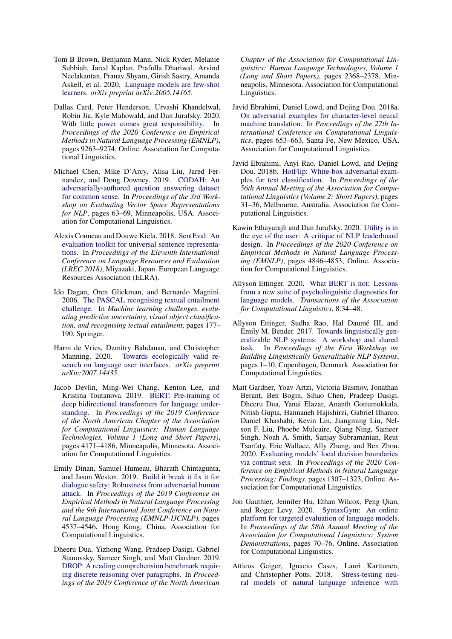- <span id="page-9-1"></span>Tom B Brown, Benjamin Mann, Nick Ryder, Melanie Subbiah, Jared Kaplan, Prafulla Dhariwal, Arvind Neelakantan, Pranav Shyam, Girish Sastry, Amanda Askell, et al. 2020. [Language models are few-shot](https://arxiv.org/abs/2005.14165) [learners.](https://arxiv.org/abs/2005.14165) *arXiv preprint arXiv:2005.14165*.
- <span id="page-9-5"></span>Dallas Card, Peter Henderson, Urvashi Khandelwal, Robin Jia, Kyle Mahowald, and Dan Jurafsky. 2020. [With little power comes great responsibility.](https://www.aclweb.org/anthology/2020.emnlp-main.745) In *Proceedings of the 2020 Conference on Empirical Methods in Natural Language Processing (EMNLP)*, pages 9263–9274, Online. Association for Computational Linguistics.
- <span id="page-9-12"></span>Michael Chen, Mike D'Arcy, Alisa Liu, Jared Fernandez, and Doug Downey. 2019. [CODAH: An](https://doi.org/10.18653/v1/W19-2008) [adversarially-authored question answering dataset](https://doi.org/10.18653/v1/W19-2008) [for common sense.](https://doi.org/10.18653/v1/W19-2008) In *Proceedings of the 3rd Workshop on Evaluating Vector Space Representations for NLP*, pages 63–69, Minneapolis, USA. Association for Computational Linguistics.
- <span id="page-9-2"></span>Alexis Conneau and Douwe Kiela. 2018. [SentEval: An](https://www.aclweb.org/anthology/L18-1269) [evaluation toolkit for universal sentence representa](https://www.aclweb.org/anthology/L18-1269)[tions.](https://www.aclweb.org/anthology/L18-1269) In *Proceedings of the Eleventh International Conference on Language Resources and Evaluation (LREC 2018)*, Miyazaki, Japan. European Language Resources Association (ELRA).
- <span id="page-9-15"></span>Ido Dagan, Oren Glickman, and Bernardo Magnini. 2006. [The PASCAL recognising textual entailment](https://link.springer.com/chapter/10.1007/11736790_9) [challenge.](https://link.springer.com/chapter/10.1007/11736790_9) In *Machine learning challenges. evaluating predictive uncertainty, visual object classification, and recognising tectual entailment*, pages 177– 190. Springer.
- <span id="page-9-13"></span>Harm de Vries, Dzmitry Bahdanau, and Christopher Manning. 2020. [Towards ecologically valid re](https://arxiv.org/abs/2007.14435)[search on language user interfaces.](https://arxiv.org/abs/2007.14435) *arXiv preprint arXiv:2007.14435*.
- <span id="page-9-0"></span>Jacob Devlin, Ming-Wei Chang, Kenton Lee, and Kristina Toutanova. 2019. [BERT: Pre-training of](https://doi.org/10.18653/v1/N19-1423) [deep bidirectional transformers for language under](https://doi.org/10.18653/v1/N19-1423)[standing.](https://doi.org/10.18653/v1/N19-1423) In *Proceedings of the 2019 Conference of the North American Chapter of the Association for Computational Linguistics: Human Language Technologies, Volume 1 (Long and Short Papers)*, pages 4171–4186, Minneapolis, Minnesota. Association for Computational Linguistics.
- <span id="page-9-11"></span>Emily Dinan, Samuel Humeau, Bharath Chintagunta, and Jason Weston. 2019. [Build it break it fix it for](https://doi.org/10.18653/v1/D19-1461) [dialogue safety: Robustness from adversarial human](https://doi.org/10.18653/v1/D19-1461) [attack.](https://doi.org/10.18653/v1/D19-1461) In *Proceedings of the 2019 Conference on Empirical Methods in Natural Language Processing and the 9th International Joint Conference on Natural Language Processing (EMNLP-IJCNLP)*, pages 4537–4546, Hong Kong, China. Association for Computational Linguistics.
- <span id="page-9-16"></span>Dheeru Dua, Yizhong Wang, Pradeep Dasigi, Gabriel Stanovsky, Sameer Singh, and Matt Gardner. 2019. [DROP: A reading comprehension benchmark requir](https://doi.org/10.18653/v1/N19-1246)[ing discrete reasoning over paragraphs.](https://doi.org/10.18653/v1/N19-1246) In *Proceedings of the 2019 Conference of the North American*

*Chapter of the Association for Computational Linguistics: Human Language Technologies, Volume 1 (Long and Short Papers)*, pages 2368–2378, Minneapolis, Minnesota. Association for Computational Linguistics.

- <span id="page-9-9"></span>Javid Ebrahimi, Daniel Lowd, and Dejing Dou. 2018a. [On adversarial examples for character-level neural](https://www.aclweb.org/anthology/C18-1055) [machine translation.](https://www.aclweb.org/anthology/C18-1055) In *Proceedings of the 27th International Conference on Computational Linguistics*, pages 653–663, Santa Fe, New Mexico, USA. Association for Computational Linguistics.
- <span id="page-9-8"></span>Javid Ebrahimi, Anyi Rao, Daniel Lowd, and Dejing Dou. 2018b. [HotFlip: White-box adversarial exam](https://doi.org/10.18653/v1/P18-2006)[ples for text classification.](https://doi.org/10.18653/v1/P18-2006) In *Proceedings of the 56th Annual Meeting of the Association for Computational Linguistics (Volume 2: Short Papers)*, pages 31–36, Melbourne, Australia. Association for Computational Linguistics.
- <span id="page-9-14"></span>Kawin Ethayarajh and Dan Jurafsky. 2020. [Utility is in](https://www.aclweb.org/anthology/2020.emnlp-main.393) [the eye of the user: A critique of NLP leaderboard](https://www.aclweb.org/anthology/2020.emnlp-main.393) [design.](https://www.aclweb.org/anthology/2020.emnlp-main.393) In *Proceedings of the 2020 Conference on Empirical Methods in Natural Language Processing (EMNLP)*, pages 4846–4853, Online. Association for Computational Linguistics.
- <span id="page-9-7"></span>Allyson Ettinger. 2020. [What BERT is not: Lessons](https://doi.org/10.1162/tacl_a_00298) [from a new suite of psycholinguistic diagnostics for](https://doi.org/10.1162/tacl_a_00298) [language models.](https://doi.org/10.1162/tacl_a_00298) *Transactions of the Association for Computational Linguistics*, 8:34–48.
- <span id="page-9-6"></span>Allyson Ettinger, Sudha Rao, Hal Daumé III, and Emily M. Bender. 2017. [Towards linguistically gen](https://doi.org/10.18653/v1/W17-5401)[eralizable NLP systems: A workshop and shared](https://doi.org/10.18653/v1/W17-5401) [task.](https://doi.org/10.18653/v1/W17-5401) In *Proceedings of the First Workshop on Building Linguistically Generalizable NLP Systems*, pages 1–10, Copenhagen, Denmark. Association for Computational Linguistics.
- <span id="page-9-10"></span>Matt Gardner, Yoav Artzi, Victoria Basmov, Jonathan Berant, Ben Bogin, Sihao Chen, Pradeep Dasigi, Dheeru Dua, Yanai Elazar, Ananth Gottumukkala, Nitish Gupta, Hannaneh Hajishirzi, Gabriel Ilharco, Daniel Khashabi, Kevin Lin, Jiangming Liu, Nelson F. Liu, Phoebe Mulcaire, Qiang Ning, Sameer Singh, Noah A. Smith, Sanjay Subramanian, Reut Tsarfaty, Eric Wallace, Ally Zhang, and Ben Zhou. 2020. [Evaluating models' local decision boundaries](https://www.aclweb.org/anthology/2020.findings-emnlp.117) [via contrast sets.](https://www.aclweb.org/anthology/2020.findings-emnlp.117) In *Proceedings of the 2020 Conference on Empirical Methods in Natural Language Processing: Findings*, pages 1307–1323, Online. Association for Computational Linguistics.
- <span id="page-9-4"></span>Jon Gauthier, Jennifer Hu, Ethan Wilcox, Peng Qian, and Roger Levy. 2020. [SyntaxGym: An online](https://doi.org/10.18653/v1/2020.acl-demos.10) [platform for targeted evaluation of language models.](https://doi.org/10.18653/v1/2020.acl-demos.10) In *Proceedings of the 58th Annual Meeting of the Association for Computational Linguistics: System Demonstrations*, pages 70–76, Online. Association for Computational Linguistics.
- <span id="page-9-3"></span>Atticus Geiger, Ignacio Cases, Lauri Karttunen, and Christopher Potts. 2018. [Stress-testing neu](https://arxiv.org/abs/1810.13033)[ral models of natural language inference with](https://arxiv.org/abs/1810.13033)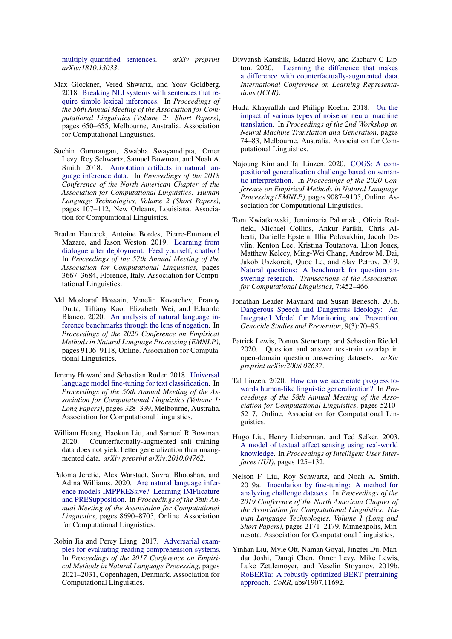[multiply-quantified sentences.](https://arxiv.org/abs/1810.13033) *arXiv preprint arXiv:1810.13033*.

- <span id="page-10-3"></span>Max Glockner, Vered Shwartz, and Yoav Goldberg. 2018. [Breaking NLI systems with sentences that re](https://doi.org/10.18653/v1/P18-2103)[quire simple lexical inferences.](https://doi.org/10.18653/v1/P18-2103) In *Proceedings of the 56th Annual Meeting of the Association for Computational Linguistics (Volume 2: Short Papers)*, pages 650–655, Melbourne, Australia. Association for Computational Linguistics.
- <span id="page-10-10"></span>Suchin Gururangan, Swabha Swayamdipta, Omer Levy, Roy Schwartz, Samuel Bowman, and Noah A. Smith. 2018. [Annotation artifacts in natural lan](https://doi.org/10.18653/v1/N18-2017)[guage inference data.](https://doi.org/10.18653/v1/N18-2017) In *Proceedings of the 2018 Conference of the North American Chapter of the Association for Computational Linguistics: Human Language Technologies, Volume 2 (Short Papers)*, pages 107–112, New Orleans, Louisiana. Association for Computational Linguistics.
- <span id="page-10-13"></span>Braden Hancock, Antoine Bordes, Pierre-Emmanuel Mazare, and Jason Weston. 2019. [Learning from](https://doi.org/10.18653/v1/P19-1358) [dialogue after deployment: Feed yourself, chatbot!](https://doi.org/10.18653/v1/P19-1358) In *Proceedings of the 57th Annual Meeting of the Association for Computational Linguistics*, pages 3667–3684, Florence, Italy. Association for Computational Linguistics.
- <span id="page-10-4"></span>Md Mosharaf Hossain, Venelin Kovatchev, Pranoy Dutta, Tiffany Kao, Elizabeth Wei, and Eduardo Blanco. 2020. [An analysis of natural language in](https://www.aclweb.org/anthology/2020.emnlp-main.732)[ference benchmarks through the lens of negation.](https://www.aclweb.org/anthology/2020.emnlp-main.732) In *Proceedings of the 2020 Conference on Empirical Methods in Natural Language Processing (EMNLP)*, pages 9106–9118, Online. Association for Computational Linguistics.
- <span id="page-10-0"></span>Jeremy Howard and Sebastian Ruder. 2018. [Universal](https://doi.org/10.18653/v1/P18-1031) [language model fine-tuning for text classification.](https://doi.org/10.18653/v1/P18-1031) In *Proceedings of the 56th Annual Meeting of the Association for Computational Linguistics (Volume 1: Long Papers)*, pages 328–339, Melbourne, Australia. Association for Computational Linguistics.
- <span id="page-10-17"></span>William Huang, Haokun Liu, and Samuel R Bowman. 2020. Counterfactually-augmented snli training data does not yield better generalization than unaugmented data. *arXiv preprint arXiv:2010.04762*.
- <span id="page-10-5"></span>Paloma Jeretic, Alex Warstadt, Suvrat Bhooshan, and Adina Williams. 2020. [Are natural language infer](https://doi.org/10.18653/v1/2020.acl-main.768)[ence models IMPPRESsive? Learning IMPlicature](https://doi.org/10.18653/v1/2020.acl-main.768) [and PRESupposition.](https://doi.org/10.18653/v1/2020.acl-main.768) In *Proceedings of the 58th Annual Meeting of the Association for Computational Linguistics*, pages 8690–8705, Online. Association for Computational Linguistics.
- <span id="page-10-8"></span>Robin Jia and Percy Liang. 2017. [Adversarial exam](https://doi.org/10.18653/v1/D17-1215)[ples for evaluating reading comprehension systems.](https://doi.org/10.18653/v1/D17-1215) In *Proceedings of the 2017 Conference on Empirical Methods in Natural Language Processing*, pages 2021–2031, Copenhagen, Denmark. Association for Computational Linguistics.
- <span id="page-10-11"></span>Divyansh Kaushik, Eduard Hovy, and Zachary C Lipton. 2020. [Learning the difference that makes](https://arxiv.org/abs/1909.12434) [a difference with counterfactually-augmented data.](https://arxiv.org/abs/1909.12434) *International Conference on Learning Representations (ICLR)*.
- <span id="page-10-9"></span>Huda Khayrallah and Philipp Koehn. 2018. [On the](https://doi.org/10.18653/v1/W18-2709) [impact of various types of noise on neural machine](https://doi.org/10.18653/v1/W18-2709) [translation.](https://doi.org/10.18653/v1/W18-2709) In *Proceedings of the 2nd Workshop on Neural Machine Translation and Generation*, pages 74–83, Melbourne, Australia. Association for Computational Linguistics.
- <span id="page-10-2"></span>Najoung Kim and Tal Linzen. 2020. [COGS: A com](https://www.aclweb.org/anthology/2020.emnlp-main.731)[positional generalization challenge based on seman](https://www.aclweb.org/anthology/2020.emnlp-main.731)[tic interpretation.](https://www.aclweb.org/anthology/2020.emnlp-main.731) In *Proceedings of the 2020 Conference on Empirical Methods in Natural Language Processing (EMNLP)*, pages 9087–9105, Online. Association for Computational Linguistics.
- <span id="page-10-12"></span>Tom Kwiatkowski, Jennimaria Palomaki, Olivia Redfield, Michael Collins, Ankur Parikh, Chris Alberti, Danielle Epstein, Illia Polosukhin, Jacob Devlin, Kenton Lee, Kristina Toutanova, Llion Jones, Matthew Kelcey, Ming-Wei Chang, Andrew M. Dai, Jakob Uszkoreit, Quoc Le, and Slav Petrov. 2019. [Natural questions: A benchmark for question an](https://doi.org/10.1162/tacl_a_00276)[swering research.](https://doi.org/10.1162/tacl_a_00276) *Transactions of the Association for Computational Linguistics*, 7:452–466.
- <span id="page-10-16"></span>Jonathan Leader Maynard and Susan Benesch. 2016. [Dangerous Speech and Dangerous Ideology: An](https://doi.org/10.5038/1911-9933.9.3.1317) [Integrated Model for Monitoring and Prevention.](https://doi.org/10.5038/1911-9933.9.3.1317) *Genocide Studies and Prevention*, 9(3):70–95.
- <span id="page-10-6"></span>Patrick Lewis, Pontus Stenetorp, and Sebastian Riedel. 2020. Question and answer test-train overlap in open-domain question answering datasets. *arXiv preprint arXiv:2008.02637*.
- <span id="page-10-14"></span>Tal Linzen. 2020. [How can we accelerate progress to](https://doi.org/10.18653/v1/2020.acl-main.465)[wards human-like linguistic generalization?](https://doi.org/10.18653/v1/2020.acl-main.465) In *Proceedings of the 58th Annual Meeting of the Association for Computational Linguistics*, pages 5210– 5217, Online. Association for Computational Linguistics.
- <span id="page-10-15"></span>Hugo Liu, Henry Lieberman, and Ted Selker. 2003. [A model of textual affect sensing using real-world](https://web.media.mit.edu/~lieber/Publications/Affec_Sensing.pdf) [knowledge.](https://web.media.mit.edu/~lieber/Publications/Affec_Sensing.pdf) In *Proceedings of Intelligent User Interfaces (IUI)*, pages 125–132.
- <span id="page-10-7"></span>Nelson F. Liu, Roy Schwartz, and Noah A. Smith. 2019a. [Inoculation by fine-tuning: A method for](https://doi.org/10.18653/v1/N19-1225) [analyzing challenge datasets.](https://doi.org/10.18653/v1/N19-1225) In *Proceedings of the 2019 Conference of the North American Chapter of the Association for Computational Linguistics: Human Language Technologies, Volume 1 (Long and Short Papers)*, pages 2171–2179, Minneapolis, Minnesota. Association for Computational Linguistics.
- <span id="page-10-1"></span>Yinhan Liu, Myle Ott, Naman Goyal, Jingfei Du, Mandar Joshi, Danqi Chen, Omer Levy, Mike Lewis, Luke Zettlemoyer, and Veselin Stoyanov. 2019b. [RoBERTa: A robustly optimized BERT pretraining](http://arxiv.org/abs/1907.11692) [approach.](http://arxiv.org/abs/1907.11692) *CoRR*, abs/1907.11692.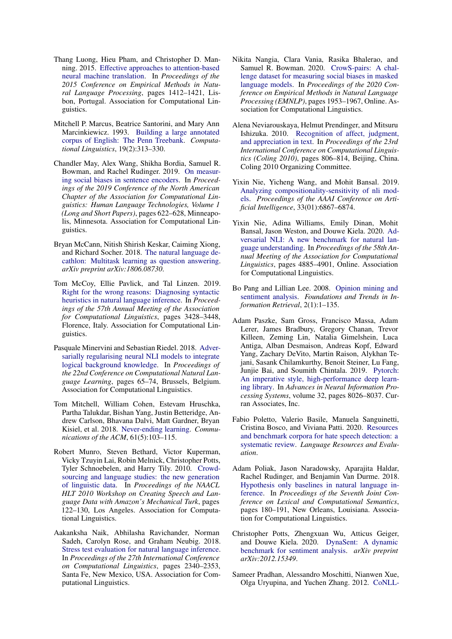- <span id="page-11-0"></span>Thang Luong, Hieu Pham, and Christopher D. Manning. 2015. [Effective approaches to attention-based](https://doi.org/10.18653/v1/D15-1166) [neural machine translation.](https://doi.org/10.18653/v1/D15-1166) In *Proceedings of the 2015 Conference on Empirical Methods in Natural Language Processing*, pages 1412–1421, Lisbon, Portugal. Association for Computational Linguistics.
- <span id="page-11-1"></span>Mitchell P. Marcus, Beatrice Santorini, and Mary Ann Marcinkiewicz. 1993. [Building a large annotated](https://www.aclweb.org/anthology/J93-2004) [corpus of English: The Penn Treebank.](https://www.aclweb.org/anthology/J93-2004) *Computational Linguistics*, 19(2):313–330.
- <span id="page-11-5"></span>Chandler May, Alex Wang, Shikha Bordia, Samuel R. Bowman, and Rachel Rudinger. 2019. [On measur](https://doi.org/10.18653/v1/N19-1063)[ing social biases in sentence encoders.](https://doi.org/10.18653/v1/N19-1063) In *Proceedings of the 2019 Conference of the North American Chapter of the Association for Computational Linguistics: Human Language Technologies, Volume 1 (Long and Short Papers)*, pages 622–628, Minneapolis, Minnesota. Association for Computational Linguistics.
- <span id="page-11-3"></span>Bryan McCann, Nitish Shirish Keskar, Caiming Xiong, and Richard Socher. 2018. [The natural language de](https://arxiv.org/abs/1806.08730)[cathlon: Multitask learning as question answering.](https://arxiv.org/abs/1806.08730) *arXiv preprint arXiv:1806.08730*.
- <span id="page-11-10"></span>Tom McCoy, Ellie Pavlick, and Tal Linzen. 2019. [Right for the wrong reasons: Diagnosing syntactic](https://doi.org/10.18653/v1/P19-1334) [heuristics in natural language inference.](https://doi.org/10.18653/v1/P19-1334) In *Proceedings of the 57th Annual Meeting of the Association for Computational Linguistics*, pages 3428–3448, Florence, Italy. Association for Computational Linguistics.
- <span id="page-11-8"></span>Pasquale Minervini and Sebastian Riedel. 2018. [Adver](https://doi.org/10.18653/v1/K18-1007)[sarially regularising neural NLI models to integrate](https://doi.org/10.18653/v1/K18-1007) [logical background knowledge.](https://doi.org/10.18653/v1/K18-1007) In *Proceedings of the 22nd Conference on Computational Natural Language Learning*, pages 65–74, Brussels, Belgium. Association for Computational Linguistics.
- <span id="page-11-12"></span>Tom Mitchell, William Cohen, Estevam Hruschka, Partha Talukdar, Bishan Yang, Justin Betteridge, Andrew Carlson, Bhavana Dalvi, Matt Gardner, Bryan Kisiel, et al. 2018. [Never-ending learning.](https://dl.acm.org/doi/10.1145/3191513) *Communications of the ACM*, 61(5):103–115.
- <span id="page-11-13"></span>Robert Munro, Steven Bethard, Victor Kuperman, Vicky Tzuyin Lai, Robin Melnick, Christopher Potts, Tyler Schnoebelen, and Harry Tily. 2010. [Crowd](https://www.aclweb.org/anthology/W10-0719)[sourcing and language studies: the new generation](https://www.aclweb.org/anthology/W10-0719) [of linguistic data.](https://www.aclweb.org/anthology/W10-0719) In *Proceedings of the NAACL HLT 2010 Workshop on Creating Speech and Language Data with Amazon's Mechanical Turk*, pages 122–130, Los Angeles. Association for Computational Linguistics.
- <span id="page-11-7"></span>Aakanksha Naik, Abhilasha Ravichander, Norman Sadeh, Carolyn Rose, and Graham Neubig. 2018. [Stress test evaluation for natural language inference.](https://www.aclweb.org/anthology/C18-1198) In *Proceedings of the 27th International Conference on Computational Linguistics*, pages 2340–2353, Santa Fe, New Mexico, USA. Association for Computational Linguistics.
- <span id="page-11-6"></span>Nikita Nangia, Clara Vania, Rasika Bhalerao, and Samuel R. Bowman. 2020. [CrowS-pairs: A chal](https://www.aclweb.org/anthology/2020.emnlp-main.154)[lenge dataset for measuring social biases in masked](https://www.aclweb.org/anthology/2020.emnlp-main.154) [language models.](https://www.aclweb.org/anthology/2020.emnlp-main.154) In *Proceedings of the 2020 Conference on Empirical Methods in Natural Language Processing (EMNLP)*, pages 1953–1967, Online. Association for Computational Linguistics.
- <span id="page-11-17"></span>Alena Neviarouskaya, Helmut Prendinger, and Mitsuru Ishizuka. 2010. [Recognition of affect, judgment,](https://www.aclweb.org/anthology/C10-1091) [and appreciation in text.](https://www.aclweb.org/anthology/C10-1091) In *Proceedings of the 23rd International Conference on Computational Linguistics (Coling 2010)*, pages 806–814, Beijing, China. Coling 2010 Organizing Committee.
- <span id="page-11-4"></span>Yixin Nie, Yicheng Wang, and Mohit Bansal. 2019. [Analyzing compositionality-sensitivity of nli mod](https://doi.org/10.1609/aaai.v33i01.33016867)[els.](https://doi.org/10.1609/aaai.v33i01.33016867) *Proceedings of the AAAI Conference on Artificial Intelligence*, 33(01):6867–6874.
- <span id="page-11-11"></span>Yixin Nie, Adina Williams, Emily Dinan, Mohit Bansal, Jason Weston, and Douwe Kiela. 2020. [Ad](https://doi.org/10.18653/v1/2020.acl-main.441)[versarial NLI: A new benchmark for natural lan](https://doi.org/10.18653/v1/2020.acl-main.441)[guage understanding.](https://doi.org/10.18653/v1/2020.acl-main.441) In *Proceedings of the 58th Annual Meeting of the Association for Computational Linguistics*, pages 4885–4901, Online. Association for Computational Linguistics.
- <span id="page-11-16"></span>Bo Pang and Lillian Lee. 2008. [Opinion mining and](http://www.cs.cornell.edu/home/llee/omsa/omsa.pdf) [sentiment analysis.](http://www.cs.cornell.edu/home/llee/omsa/omsa.pdf) *Foundations and Trends in Information Retrieval*, 2(1):1–135.
- <span id="page-11-14"></span>Adam Paszke, Sam Gross, Francisco Massa, Adam Lerer, James Bradbury, Gregory Chanan, Trevor Killeen, Zeming Lin, Natalia Gimelshein, Luca Antiga, Alban Desmaison, Andreas Kopf, Edward Yang, Zachary DeVito, Martin Raison, Alykhan Tejani, Sasank Chilamkurthy, Benoit Steiner, Lu Fang, Junjie Bai, and Soumith Chintala. 2019. [Pytorch:](https://proceedings.neurips.cc/paper/2019/file/bdbca288fee7f92f2bfa9f7012727740-Paper.pdf) [An imperative style, high-performance deep learn](https://proceedings.neurips.cc/paper/2019/file/bdbca288fee7f92f2bfa9f7012727740-Paper.pdf)[ing library.](https://proceedings.neurips.cc/paper/2019/file/bdbca288fee7f92f2bfa9f7012727740-Paper.pdf) In *Advances in Neural Information Processing Systems*, volume 32, pages 8026–8037. Curran Associates, Inc.
- <span id="page-11-18"></span>Fabio Poletto, Valerio Basile, Manuela Sanguinetti, Cristina Bosco, and Viviana Patti. 2020. [Resources](https://doi.org/10.1007/s10579-020-09502-8) [and benchmark corpora for hate speech detection: a](https://doi.org/10.1007/s10579-020-09502-8) [systematic review.](https://doi.org/10.1007/s10579-020-09502-8) *Language Resources and Evaluation*.
- <span id="page-11-9"></span>Adam Poliak, Jason Naradowsky, Aparajita Haldar, Rachel Rudinger, and Benjamin Van Durme. 2018. [Hypothesis only baselines in natural language in](https://doi.org/10.18653/v1/S18-2023)[ference.](https://doi.org/10.18653/v1/S18-2023) In *Proceedings of the Seventh Joint Conference on Lexical and Computational Semantics*, pages 180–191, New Orleans, Louisiana. Association for Computational Linguistics.
- <span id="page-11-15"></span>Christopher Potts, Zhengxuan Wu, Atticus Geiger, and Douwe Kiela. 2020. [DynaSent: A dynamic](https://arxiv.org/abs/2012.15349) [benchmark for sentiment analysis.](https://arxiv.org/abs/2012.15349) *arXiv preprint arXiv:2012.15349*.
- <span id="page-11-2"></span>Sameer Pradhan, Alessandro Moschitti, Nianwen Xue, Olga Uryupina, and Yuchen Zhang. 2012. [CoNLL-](https://www.aclweb.org/anthology/W12-4501)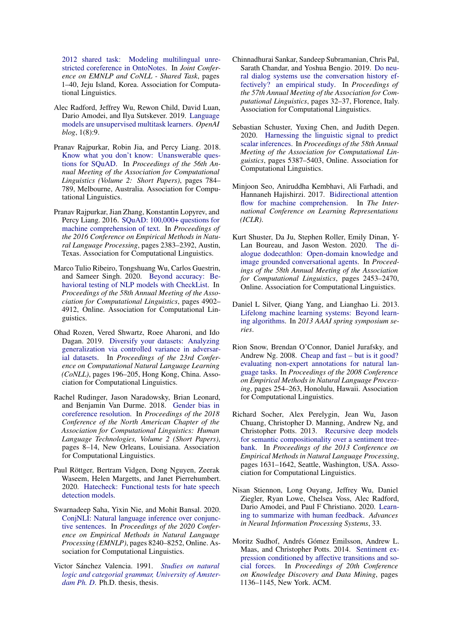[2012 shared task: Modeling multilingual unre](https://www.aclweb.org/anthology/W12-4501)[stricted coreference in OntoNotes.](https://www.aclweb.org/anthology/W12-4501) In *Joint Conference on EMNLP and CoNLL - Shared Task*, pages 1–40, Jeju Island, Korea. Association for Computational Linguistics.

- <span id="page-12-0"></span>Alec Radford, Jeffrey Wu, Rewon Child, David Luan, Dario Amodei, and Ilya Sutskever. 2019. [Language](http://www.persagen.com/files/misc/radford2019language.pdf) [models are unsupervised multitask learners.](http://www.persagen.com/files/misc/radford2019language.pdf) *OpenAI blog*, 1(8):9.
- <span id="page-12-3"></span>Pranav Rajpurkar, Robin Jia, and Percy Liang. 2018. [Know what you don't know: Unanswerable ques](https://doi.org/10.18653/v1/P18-2124)[tions for SQuAD.](https://doi.org/10.18653/v1/P18-2124) In *Proceedings of the 56th Annual Meeting of the Association for Computational Linguistics (Volume 2: Short Papers)*, pages 784– 789, Melbourne, Australia. Association for Computational Linguistics.
- <span id="page-12-2"></span>Pranav Rajpurkar, Jian Zhang, Konstantin Lopyrev, and Percy Liang. 2016. [SQuAD: 100,000+ questions for](https://doi.org/10.18653/v1/D16-1264) [machine comprehension of text.](https://doi.org/10.18653/v1/D16-1264) In *Proceedings of the 2016 Conference on Empirical Methods in Natural Language Processing*, pages 2383–2392, Austin, Texas. Association for Computational Linguistics.
- <span id="page-12-8"></span>Marco Tulio Ribeiro, Tongshuang Wu, Carlos Guestrin, and Sameer Singh. 2020. [Beyond accuracy: Be](https://doi.org/10.18653/v1/2020.acl-main.442)[havioral testing of NLP models with CheckList.](https://doi.org/10.18653/v1/2020.acl-main.442) In *Proceedings of the 58th Annual Meeting of the Association for Computational Linguistics*, pages 4902– 4912, Online. Association for Computational Linguistics.
- <span id="page-12-7"></span>Ohad Rozen, Vered Shwartz, Roee Aharoni, and Ido Dagan. 2019. [Diversify your datasets: Analyzing](https://doi.org/10.18653/v1/K19-1019) [generalization via controlled variance in adversar](https://doi.org/10.18653/v1/K19-1019)[ial datasets.](https://doi.org/10.18653/v1/K19-1019) In *Proceedings of the 23rd Conference on Computational Natural Language Learning (CoNLL)*, pages 196–205, Hong Kong, China. Association for Computational Linguistics.
- <span id="page-12-4"></span>Rachel Rudinger, Jason Naradowsky, Brian Leonard, and Benjamin Van Durme. 2018. [Gender bias in](https://doi.org/10.18653/v1/N18-2002) [coreference resolution.](https://doi.org/10.18653/v1/N18-2002) In *Proceedings of the 2018 Conference of the North American Chapter of the Association for Computational Linguistics: Human Language Technologies, Volume 2 (Short Papers)*, pages 8–14, New Orleans, Louisiana. Association for Computational Linguistics.
- <span id="page-12-17"></span>Paul Röttger, Bertram Vidgen, Dong Nguyen, Zeerak Waseem, Helen Margetts, and Janet Pierrehumbert. 2020. [Hatecheck: Functional tests for hate speech](http://arxiv.org/abs/2012.15606) [detection models.](http://arxiv.org/abs/2012.15606)
- <span id="page-12-5"></span>Swarnadeep Saha, Yixin Nie, and Mohit Bansal. 2020. [ConjNLI: Natural language inference over conjunc](https://www.aclweb.org/anthology/2020.emnlp-main.661)[tive sentences.](https://www.aclweb.org/anthology/2020.emnlp-main.661) In *Proceedings of the 2020 Conference on Empirical Methods in Natural Language Processing (EMNLP)*, pages 8240–8252, Online. Association for Computational Linguistics.
- <span id="page-12-14"></span>Victor Sánchez Valencia. 1991. *[Studies on natural](https://www.illc.uva.nl/Research/Publications/Dissertations/HDS-17-Victor-Sanchez.text.pdf) [logic and categorial grammar, University of Amster](https://www.illc.uva.nl/Research/Publications/Dissertations/HDS-17-Victor-Sanchez.text.pdf)[dam Ph. D](https://www.illc.uva.nl/Research/Publications/Dissertations/HDS-17-Victor-Sanchez.text.pdf)*. Ph.D. thesis, thesis.
- <span id="page-12-9"></span>Chinnadhurai Sankar, Sandeep Subramanian, Chris Pal, Sarath Chandar, and Yoshua Bengio. 2019. [Do neu](https://doi.org/10.18653/v1/P19-1004)[ral dialog systems use the conversation history ef](https://doi.org/10.18653/v1/P19-1004)[fectively? an empirical study.](https://doi.org/10.18653/v1/P19-1004) In *Proceedings of the 57th Annual Meeting of the Association for Computational Linguistics*, pages 32–37, Florence, Italy. Association for Computational Linguistics.
- <span id="page-12-6"></span>Sebastian Schuster, Yuxing Chen, and Judith Degen. 2020. [Harnessing the linguistic signal to predict](https://doi.org/10.18653/v1/2020.acl-main.479) [scalar inferences.](https://doi.org/10.18653/v1/2020.acl-main.479) In *Proceedings of the 58th Annual Meeting of the Association for Computational Linguistics*, pages 5387–5403, Online. Association for Computational Linguistics.
- <span id="page-12-15"></span>Minjoon Seo, Aniruddha Kembhavi, Ali Farhadi, and Hannaneh Hajishirzi. 2017. [Bidirectional attention](https://openreview.net/forum?id=HJ0UKP9ge) [flow for machine comprehension.](https://openreview.net/forum?id=HJ0UKP9ge) In *The International Conference on Learning Representations (ICLR)*.
- <span id="page-12-12"></span>Kurt Shuster, Da Ju, Stephen Roller, Emily Dinan, Y-Lan Boureau, and Jason Weston. 2020. [The di](https://doi.org/10.18653/v1/2020.acl-main.222)[alogue dodecathlon: Open-domain knowledge and](https://doi.org/10.18653/v1/2020.acl-main.222) [image grounded conversational agents.](https://doi.org/10.18653/v1/2020.acl-main.222) In *Proceedings of the 58th Annual Meeting of the Association for Computational Linguistics*, pages 2453–2470, Online. Association for Computational Linguistics.
- <span id="page-12-10"></span>Daniel L Silver, Qiang Yang, and Lianghao Li. 2013. [Lifelong machine learning systems: Beyond learn](http://axon.cs.byu.edu/~martinez/classes/678/Presentations/Martin.pdf)[ing algorithms.](http://axon.cs.byu.edu/~martinez/classes/678/Presentations/Martin.pdf) In *2013 AAAI spring symposium series*.
- <span id="page-12-11"></span>Rion Snow, Brendan O'Connor, Daniel Jurafsky, and Andrew Ng. 2008. [Cheap and fast – but is it good?](https://www.aclweb.org/anthology/D08-1027) [evaluating non-expert annotations for natural lan](https://www.aclweb.org/anthology/D08-1027)[guage tasks.](https://www.aclweb.org/anthology/D08-1027) In *Proceedings of the 2008 Conference on Empirical Methods in Natural Language Processing*, pages 254–263, Honolulu, Hawaii. Association for Computational Linguistics.
- <span id="page-12-1"></span>Richard Socher, Alex Perelygin, Jean Wu, Jason Chuang, Christopher D. Manning, Andrew Ng, and Christopher Potts. 2013. [Recursive deep models](https://www.aclweb.org/anthology/D13-1170) [for semantic compositionality over a sentiment tree](https://www.aclweb.org/anthology/D13-1170)[bank.](https://www.aclweb.org/anthology/D13-1170) In *Proceedings of the 2013 Conference on Empirical Methods in Natural Language Processing*, pages 1631–1642, Seattle, Washington, USA. Association for Computational Linguistics.
- <span id="page-12-13"></span>Nisan Stiennon, Long Ouyang, Jeffrey Wu, Daniel Ziegler, Ryan Lowe, Chelsea Voss, Alec Radford, Dario Amodei, and Paul F Christiano. 2020. [Learn](https://arxiv.org/abs/2009.01325)[ing to summarize with human feedback.](https://arxiv.org/abs/2009.01325) *Advances in Neural Information Processing Systems*, 33.
- <span id="page-12-16"></span>Moritz Sudhof, Andrés Gómez Emilsson, Andrew L. Maas, and Christopher Potts. 2014. [Sentiment ex](https://doi.org/10.1145/2623330.2623687)[pression conditioned by affective transitions and so](https://doi.org/10.1145/2623330.2623687)[cial forces.](https://doi.org/10.1145/2623330.2623687) In *Proceedings of 20th Conference on Knowledge Discovery and Data Mining*, pages 1136–1145, New York. ACM.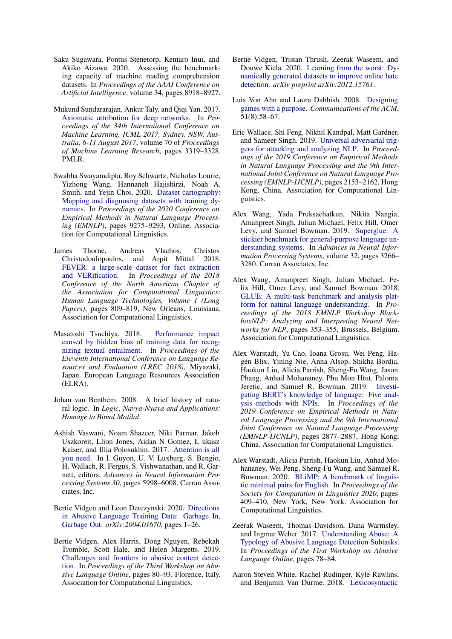- <span id="page-13-5"></span>Saku Sugawara, Pontus Stenetorp, Kentaro Inui, and Akiko Aizawa. 2020. Assessing the benchmarking capacity of machine reading comprehension datasets. In *Proceedings of the AAAI Conference on Artificial Intelligence*, volume 34, pages 8918–8927.
- <span id="page-13-10"></span>Mukund Sundararajan, Ankur Taly, and Qiqi Yan. 2017. [Axiomatic attribution for deep networks.](http://proceedings.mlr.press/v70/sundararajan17a.html) In *Proceedings of the 34th International Conference on Machine Learning, ICML 2017, Sydney, NSW, Australia, 6-11 August 2017*, volume 70 of *Proceedings of Machine Learning Research*, pages 3319–3328. PMLR.
- <span id="page-13-9"></span>Swabha Swayamdipta, Roy Schwartz, Nicholas Lourie, Yizhong Wang, Hannaneh Hajishirzi, Noah A. Smith, and Yejin Choi. 2020. [Dataset cartography:](https://www.aclweb.org/anthology/2020.emnlp-main.746) [Mapping and diagnosing datasets with training dy](https://www.aclweb.org/anthology/2020.emnlp-main.746)[namics.](https://www.aclweb.org/anthology/2020.emnlp-main.746) In *Proceedings of the 2020 Conference on Empirical Methods in Natural Language Processing (EMNLP)*, pages 9275–9293, Online. Association for Computational Linguistics.
- <span id="page-13-12"></span>James Thorne, Andreas Vlachos, Christos Christodoulopoulos, and Arpit Mittal. 2018. [FEVER: a large-scale dataset for fact extraction](https://doi.org/10.18653/v1/N18-1074) [and VERification.](https://doi.org/10.18653/v1/N18-1074) In *Proceedings of the 2018 Conference of the North American Chapter of the Association for Computational Linguistics: Human Language Technologies, Volume 1 (Long Papers)*, pages 809–819, New Orleans, Louisiana. Association for Computational Linguistics.
- <span id="page-13-7"></span>Masatoshi Tsuchiya. 2018. [Performance impact](https://www.aclweb.org/anthology/L18-1239) [caused by hidden bias of training data for recog](https://www.aclweb.org/anthology/L18-1239)[nizing textual entailment.](https://www.aclweb.org/anthology/L18-1239) In *Proceedings of the Eleventh International Conference on Language Resources and Evaluation (LREC 2018)*, Miyazaki, Japan. European Language Resources Association (ELRA).
- <span id="page-13-11"></span>Johan van Benthem. 2008. A brief history of natural logic. In *Logic, Navya-Nyaya and Applications: Homage to Bimal Matilal*.
- <span id="page-13-0"></span>Ashish Vaswani, Noam Shazeer, Niki Parmar, Jakob Uszkoreit, Llion Jones, Aidan N Gomez, Ł ukasz Kaiser, and Illia Polosukhin. 2017. [Attention is all](http://papers.nips.cc/paper/7181-attention-is-all-you-need.pdf) [you need.](http://papers.nips.cc/paper/7181-attention-is-all-you-need.pdf) In I. Guyon, U. V. Luxburg, S. Bengio, H. Wallach, R. Fergus, S. Vishwanathan, and R. Garnett, editors, *Advances in Neural Information Processing Systems 30*, pages 5998–6008. Curran Associates, Inc.
- <span id="page-13-14"></span>Bertie Vidgen and Leon Derczynski. 2020. [Directions](http://arxiv.org/abs/2004.01670) [in Abusive Language Training Data: Garbage In,](http://arxiv.org/abs/2004.01670) [Garbage Out.](http://arxiv.org/abs/2004.01670) *arXiv:2004.01670*, pages 1–26.
- <span id="page-13-15"></span>Bertie Vidgen, Alex Harris, Dong Nguyen, Rebekah Tromble, Scott Hale, and Helen Margetts. 2019. [Challenges and frontiers in abusive content detec](https://doi.org/10.18653/v1/W19-3509)[tion.](https://doi.org/10.18653/v1/W19-3509) In *Proceedings of the Third Workshop on Abusive Language Online*, pages 80–93, Florence, Italy. Association for Computational Linguistics.
- <span id="page-13-16"></span>Bertie Vidgen, Tristan Thrush, Zeerak Waseem, and Douwe Kiela. 2020. [Learning from the worst: Dy](https://arxiv.org/abs/2012.15761)[namically generated datasets to improve online hate](https://arxiv.org/abs/2012.15761) [detection.](https://arxiv.org/abs/2012.15761) *arXiv preprint arXiv:2012.15761*.
- <span id="page-13-17"></span>Luis Von Ahn and Laura Dabbish. 2008. [Designing](https://dl.acm.org/doi/fullHtml/10.1145/1378704.1378719) [games with a purpose.](https://dl.acm.org/doi/fullHtml/10.1145/1378704.1378719) *Communications of the ACM*, 51(8):58–67.
- <span id="page-13-8"></span>Eric Wallace, Shi Feng, Nikhil Kandpal, Matt Gardner, and Sameer Singh. 2019. [Universal adversarial trig](https://doi.org/10.18653/v1/D19-1221)[gers for attacking and analyzing NLP.](https://doi.org/10.18653/v1/D19-1221) In *Proceedings of the 2019 Conference on Empirical Methods in Natural Language Processing and the 9th International Joint Conference on Natural Language Processing (EMNLP-IJCNLP)*, pages 2153–2162, Hong Kong, China. Association for Computational Linguistics.
- <span id="page-13-2"></span>Alex Wang, Yada Pruksachatkun, Nikita Nangia, Amanpreet Singh, Julian Michael, Felix Hill, Omer Levy, and Samuel Bowman. 2019. [Superglue: A](https://proceedings.neurips.cc/paper/2019/file/4496bf24afe7fab6f046bf4923da8de6-Paper.pdf) [stickier benchmark for general-purpose language un](https://proceedings.neurips.cc/paper/2019/file/4496bf24afe7fab6f046bf4923da8de6-Paper.pdf)[derstanding systems.](https://proceedings.neurips.cc/paper/2019/file/4496bf24afe7fab6f046bf4923da8de6-Paper.pdf) In *Advances in Neural Information Processing Systems*, volume 32, pages 3266– 3280. Curran Associates, Inc.
- <span id="page-13-1"></span>Alex Wang, Amanpreet Singh, Julian Michael, Felix Hill, Omer Levy, and Samuel Bowman. 2018. [GLUE: A multi-task benchmark and analysis plat](https://doi.org/10.18653/v1/W18-5446)[form for natural language understanding.](https://doi.org/10.18653/v1/W18-5446) In *Proceedings of the 2018 EMNLP Workshop BlackboxNLP: Analyzing and Interpreting Neural Networks for NLP*, pages 353–355, Brussels, Belgium. Association for Computational Linguistics.
- <span id="page-13-4"></span>Alex Warstadt, Yu Cao, Ioana Grosu, Wei Peng, Hagen Blix, Yining Nie, Anna Alsop, Shikha Bordia, Haokun Liu, Alicia Parrish, Sheng-Fu Wang, Jason Phang, Anhad Mohananey, Phu Mon Htut, Paloma Jeretic, and Samuel R. Bowman. 2019. [Investi](https://doi.org/10.18653/v1/D19-1286)[gating BERT's knowledge of language: Five anal](https://doi.org/10.18653/v1/D19-1286)[ysis methods with NPIs.](https://doi.org/10.18653/v1/D19-1286) In *Proceedings of the 2019 Conference on Empirical Methods in Natural Language Processing and the 9th International Joint Conference on Natural Language Processing (EMNLP-IJCNLP)*, pages 2877–2887, Hong Kong, China. Association for Computational Linguistics.
- <span id="page-13-6"></span>Alex Warstadt, Alicia Parrish, Haokun Liu, Anhad Mohananey, Wei Peng, Sheng-Fu Wang, and Samuel R. Bowman. 2020. [BLiMP: A benchmark of linguis](https://www.aclweb.org/anthology/2020.scil-1.47)[tic minimal pairs for English.](https://www.aclweb.org/anthology/2020.scil-1.47) In *Proceedings of the Society for Computation in Linguistics 2020*, pages 409–410, New York, New York. Association for Computational Linguistics.
- <span id="page-13-13"></span>Zeerak Waseem, Thomas Davidson, Dana Warmsley, and Ingmar Weber. 2017. [Understanding Abuse: A](https://doi.org/10.1080/17421770903114687) [Typology of Abusive Language Detection Subtasks.](https://doi.org/10.1080/17421770903114687) In *Proceedings of the First Workshop on Abusive Language Online*, pages 78–84.
- <span id="page-13-3"></span>Aaron Steven White, Rachel Rudinger, Kyle Rawlins, and Benjamin Van Durme. 2018. [Lexicosyntactic](https://doi.org/10.18653/v1/D18-1501)